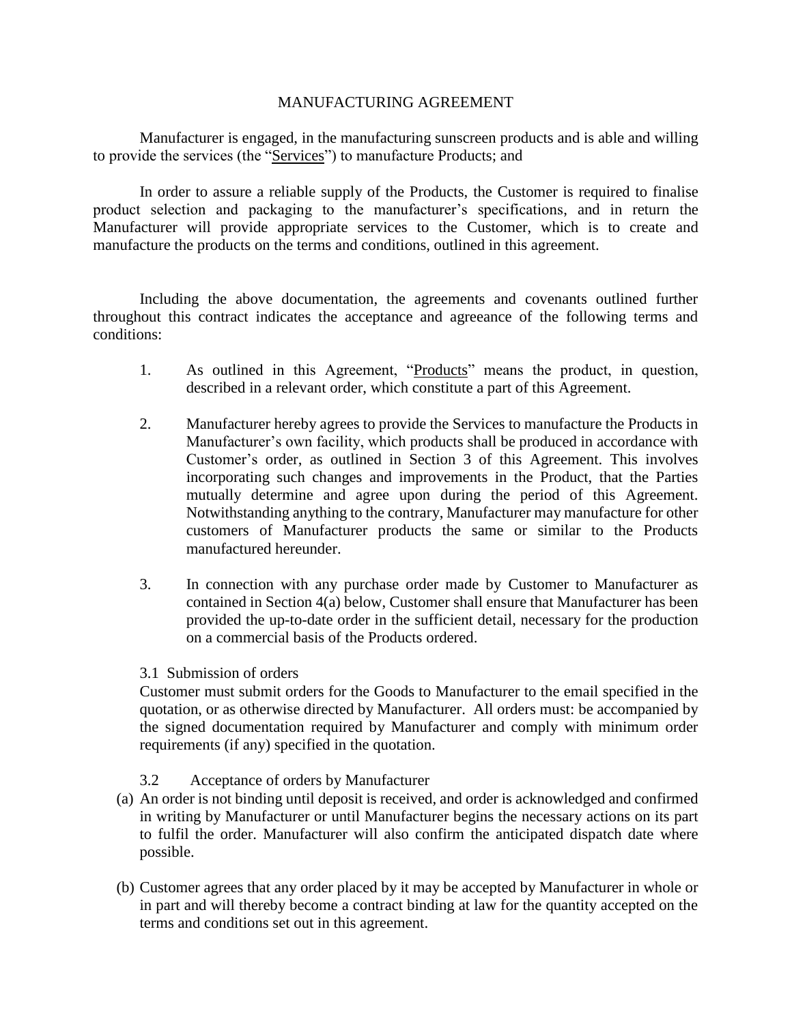## MANUFACTURING AGREEMENT

Manufacturer is engaged, in the manufacturing sunscreen products and is able and willing to provide the services (the "Services") to manufacture Products; and

In order to assure a reliable supply of the Products, the Customer is required to finalise product selection and packaging to the manufacturer's specifications, and in return the Manufacturer will provide appropriate services to the Customer, which is to create and manufacture the products on the terms and conditions, outlined in this agreement.

Including the above documentation, the agreements and covenants outlined further throughout this contract indicates the acceptance and agreeance of the following terms and conditions:

- 1. As outlined in this Agreement, "Products" means the product, in question, described in a relevant order, which constitute a part of this Agreement.
- 2. Manufacturer hereby agrees to provide the Services to manufacture the Products in Manufacturer's own facility, which products shall be produced in accordance with Customer's order, as outlined in Section 3 of this Agreement. This involves incorporating such changes and improvements in the Product, that the Parties mutually determine and agree upon during the period of this Agreement. Notwithstanding anything to the contrary, Manufacturer may manufacture for other customers of Manufacturer products the same or similar to the Products manufactured hereunder.
- 3. In connection with any purchase order made by Customer to Manufacturer as contained in Section 4(a) below, Customer shall ensure that Manufacturer has been provided the up-to-date order in the sufficient detail, necessary for the production on a commercial basis of the Products ordered.

## 3.1 Submission of orders

Customer must submit orders for the Goods to Manufacturer to the email specified in the quotation, or as otherwise directed by Manufacturer. All orders must: be accompanied by the signed documentation required by Manufacturer and comply with minimum order requirements (if any) specified in the quotation.

## 3.2 Acceptance of orders by Manufacturer

- (a) An order is not binding until deposit is received, and order is acknowledged and confirmed in writing by Manufacturer or until Manufacturer begins the necessary actions on its part to fulfil the order. Manufacturer will also confirm the anticipated dispatch date where possible.
- (b) Customer agrees that any order placed by it may be accepted by Manufacturer in whole or in part and will thereby become a contract binding at law for the quantity accepted on the terms and conditions set out in this agreement.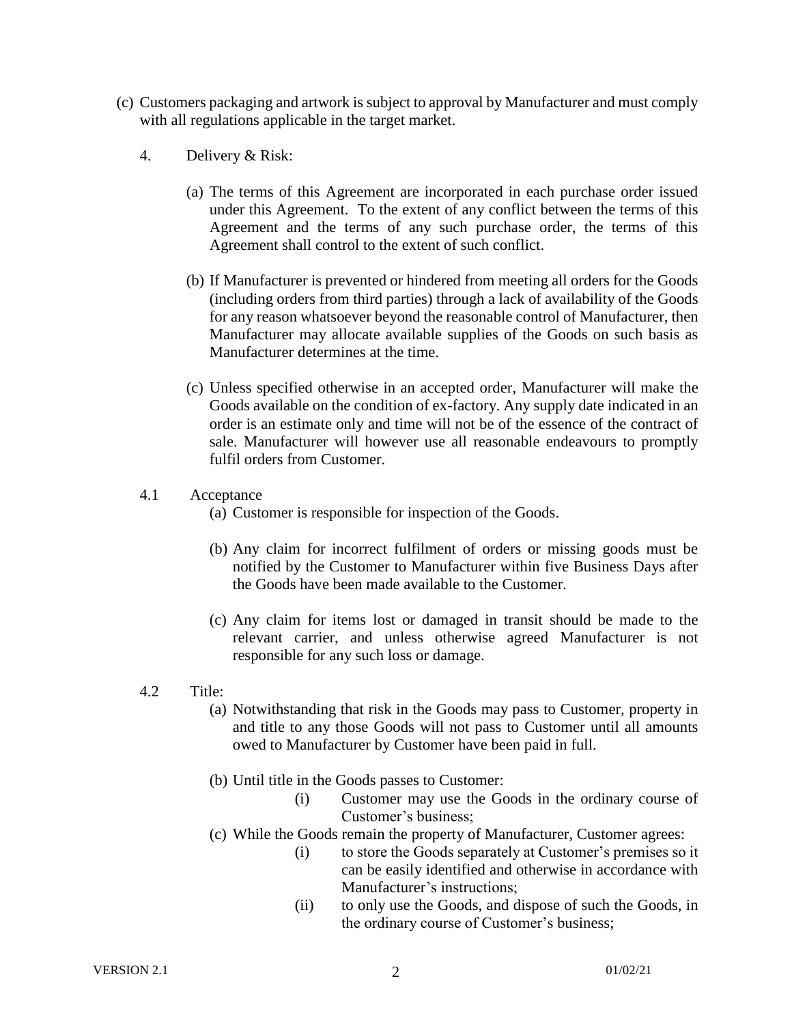- (c) Customers packaging and artwork is subject to approval by Manufacturer and must comply with all regulations applicable in the target market.
	- 4. Delivery & Risk:
		- (a) The terms of this Agreement are incorporated in each purchase order issued under this Agreement. To the extent of any conflict between the terms of this Agreement and the terms of any such purchase order, the terms of this Agreement shall control to the extent of such conflict.
		- (b) If Manufacturer is prevented or hindered from meeting all orders for the Goods (including orders from third parties) through a lack of availability of the Goods for any reason whatsoever beyond the reasonable control of Manufacturer, then Manufacturer may allocate available supplies of the Goods on such basis as Manufacturer determines at the time.
		- (c) Unless specified otherwise in an accepted order, Manufacturer will make the Goods available on the condition of ex-factory. Any supply date indicated in an order is an estimate only and time will not be of the essence of the contract of sale. Manufacturer will however use all reasonable endeavours to promptly fulfil orders from Customer.
	- 4.1 Acceptance
		- (a) Customer is responsible for inspection of the Goods.
		- (b) Any claim for incorrect fulfilment of orders or missing goods must be notified by the Customer to Manufacturer within five Business Days after the Goods have been made available to the Customer.
		- (c) Any claim for items lost or damaged in transit should be made to the relevant carrier, and unless otherwise agreed Manufacturer is not responsible for any such loss or damage.
	- 4.2 Title:
		- (a) Notwithstanding that risk in the Goods may pass to Customer, property in and title to any those Goods will not pass to Customer until all amounts owed to Manufacturer by Customer have been paid in full.
		- (b) Until title in the Goods passes to Customer:
			- (i) Customer may use the Goods in the ordinary course of Customer's business;
		- (c) While the Goods remain the property of Manufacturer, Customer agrees:
			- (i) to store the Goods separately at Customer's premises so it can be easily identified and otherwise in accordance with Manufacturer's instructions;
			- (ii) to only use the Goods, and dispose of such the Goods, in the ordinary course of Customer's business;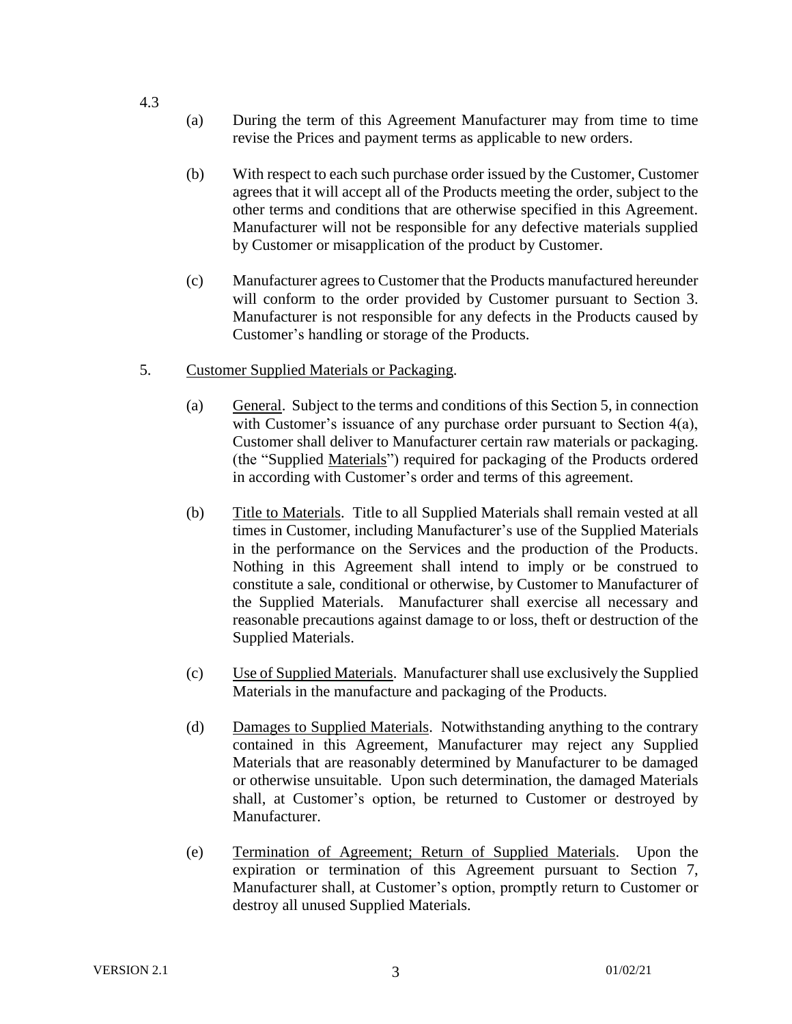- (a) During the term of this Agreement Manufacturer may from time to time revise the Prices and payment terms as applicable to new orders.
- (b) With respect to each such purchase order issued by the Customer, Customer agrees that it will accept all of the Products meeting the order, subject to the other terms and conditions that are otherwise specified in this Agreement. Manufacturer will not be responsible for any defective materials supplied by Customer or misapplication of the product by Customer.
- (c) Manufacturer agrees to Customer that the Products manufactured hereunder will conform to the order provided by Customer pursuant to Section 3. Manufacturer is not responsible for any defects in the Products caused by Customer's handling or storage of the Products.
- 5. Customer Supplied Materials or Packaging.
	- (a) General. Subject to the terms and conditions of this Section 5, in connection with Customer's issuance of any purchase order pursuant to Section 4(a), Customer shall deliver to Manufacturer certain raw materials or packaging. (the "Supplied Materials") required for packaging of the Products ordered in according with Customer's order and terms of this agreement.
	- (b) Title to Materials. Title to all Supplied Materials shall remain vested at all times in Customer, including Manufacturer's use of the Supplied Materials in the performance on the Services and the production of the Products. Nothing in this Agreement shall intend to imply or be construed to constitute a sale, conditional or otherwise, by Customer to Manufacturer of the Supplied Materials. Manufacturer shall exercise all necessary and reasonable precautions against damage to or loss, theft or destruction of the Supplied Materials.
	- (c) Use of Supplied Materials. Manufacturer shall use exclusively the Supplied Materials in the manufacture and packaging of the Products.
	- (d) Damages to Supplied Materials. Notwithstanding anything to the contrary contained in this Agreement, Manufacturer may reject any Supplied Materials that are reasonably determined by Manufacturer to be damaged or otherwise unsuitable. Upon such determination, the damaged Materials shall, at Customer's option, be returned to Customer or destroyed by Manufacturer.
	- (e) Termination of Agreement; Return of Supplied Materials. Upon the expiration or termination of this Agreement pursuant to Section 7, Manufacturer shall, at Customer's option, promptly return to Customer or destroy all unused Supplied Materials.

4.3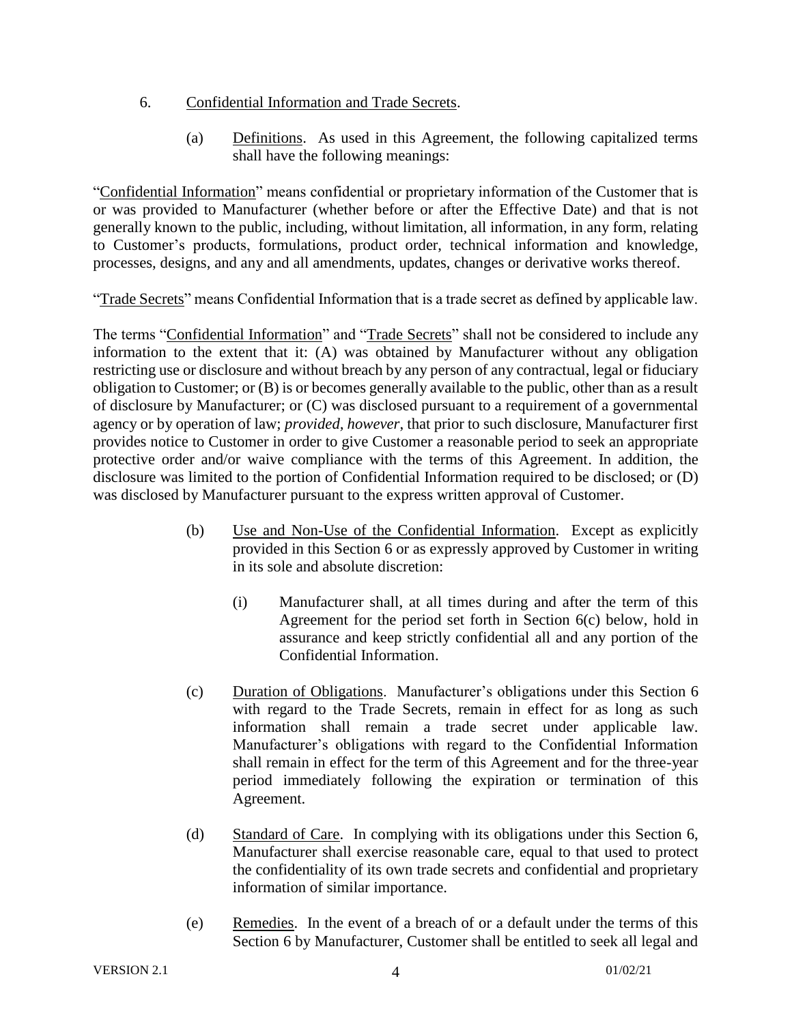## 6. Confidential Information and Trade Secrets.

(a) Definitions. As used in this Agreement, the following capitalized terms shall have the following meanings:

"Confidential Information" means confidential or proprietary information of the Customer that is or was provided to Manufacturer (whether before or after the Effective Date) and that is not generally known to the public, including, without limitation, all information, in any form, relating to Customer's products, formulations, product order, technical information and knowledge, processes, designs, and any and all amendments, updates, changes or derivative works thereof.

"Trade Secrets" means Confidential Information that is a trade secret as defined by applicable law.

The terms "Confidential Information" and "Trade Secrets" shall not be considered to include any information to the extent that it: (A) was obtained by Manufacturer without any obligation restricting use or disclosure and without breach by any person of any contractual, legal or fiduciary obligation to Customer; or (B) is or becomes generally available to the public, other than as a result of disclosure by Manufacturer; or (C) was disclosed pursuant to a requirement of a governmental agency or by operation of law; *provided, however*, that prior to such disclosure, Manufacturer first provides notice to Customer in order to give Customer a reasonable period to seek an appropriate protective order and/or waive compliance with the terms of this Agreement. In addition, the disclosure was limited to the portion of Confidential Information required to be disclosed; or (D) was disclosed by Manufacturer pursuant to the express written approval of Customer.

- (b) Use and Non-Use of the Confidential Information. Except as explicitly provided in this Section 6 or as expressly approved by Customer in writing in its sole and absolute discretion:
	- (i) Manufacturer shall, at all times during and after the term of this Agreement for the period set forth in Section 6(c) below, hold in assurance and keep strictly confidential all and any portion of the Confidential Information.
- (c) Duration of Obligations. Manufacturer's obligations under this Section 6 with regard to the Trade Secrets, remain in effect for as long as such information shall remain a trade secret under applicable law. Manufacturer's obligations with regard to the Confidential Information shall remain in effect for the term of this Agreement and for the three-year period immediately following the expiration or termination of this Agreement.
- (d) Standard of Care. In complying with its obligations under this Section 6, Manufacturer shall exercise reasonable care, equal to that used to protect the confidentiality of its own trade secrets and confidential and proprietary information of similar importance.
- (e) Remedies. In the event of a breach of or a default under the terms of this Section 6 by Manufacturer, Customer shall be entitled to seek all legal and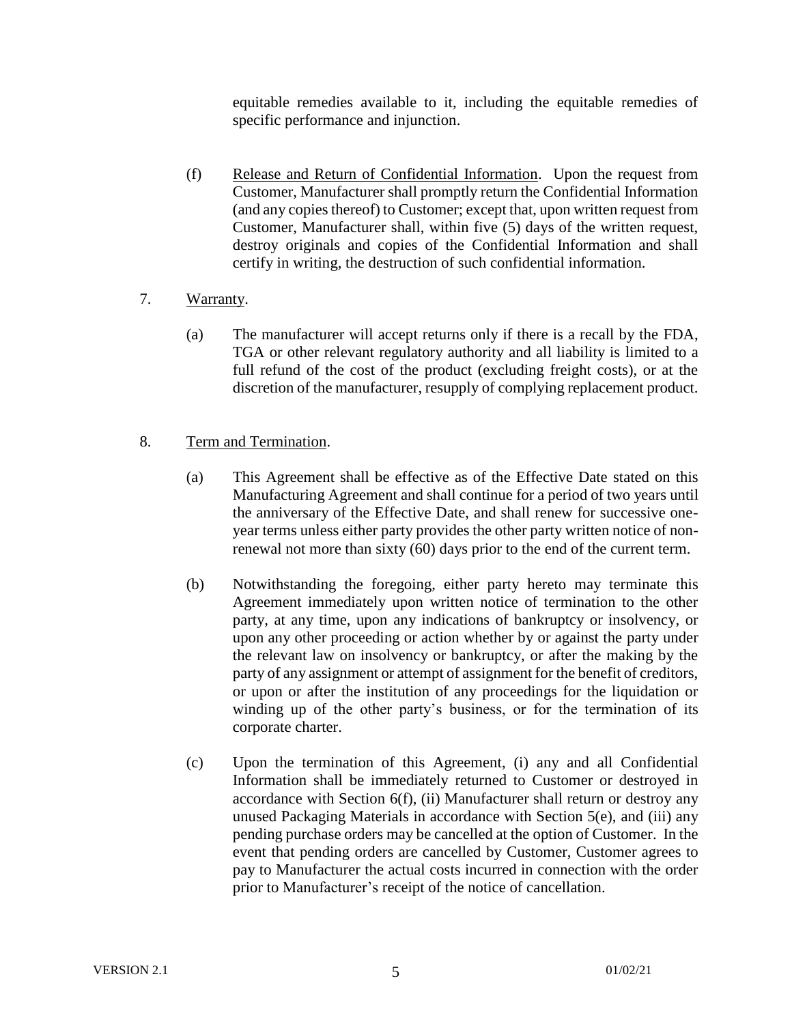equitable remedies available to it, including the equitable remedies of specific performance and injunction.

- (f) Release and Return of Confidential Information. Upon the request from Customer, Manufacturer shall promptly return the Confidential Information (and any copies thereof) to Customer; except that, upon written request from Customer, Manufacturer shall, within five (5) days of the written request, destroy originals and copies of the Confidential Information and shall certify in writing, the destruction of such confidential information.
- 7. Warranty.
	- (a) The manufacturer will accept returns only if there is a recall by the FDA, TGA or other relevant regulatory authority and all liability is limited to a full refund of the cost of the product (excluding freight costs), or at the discretion of the manufacturer, resupply of complying replacement product.
- 8. Term and Termination.
	- (a) This Agreement shall be effective as of the Effective Date stated on this Manufacturing Agreement and shall continue for a period of two years until the anniversary of the Effective Date, and shall renew for successive oneyear terms unless either party provides the other party written notice of nonrenewal not more than sixty (60) days prior to the end of the current term.
	- (b) Notwithstanding the foregoing, either party hereto may terminate this Agreement immediately upon written notice of termination to the other party, at any time, upon any indications of bankruptcy or insolvency, or upon any other proceeding or action whether by or against the party under the relevant law on insolvency or bankruptcy, or after the making by the party of any assignment or attempt of assignment for the benefit of creditors, or upon or after the institution of any proceedings for the liquidation or winding up of the other party's business, or for the termination of its corporate charter.
	- (c) Upon the termination of this Agreement, (i) any and all Confidential Information shall be immediately returned to Customer or destroyed in accordance with Section 6(f), (ii) Manufacturer shall return or destroy any unused Packaging Materials in accordance with Section 5(e), and (iii) any pending purchase orders may be cancelled at the option of Customer. In the event that pending orders are cancelled by Customer, Customer agrees to pay to Manufacturer the actual costs incurred in connection with the order prior to Manufacturer's receipt of the notice of cancellation.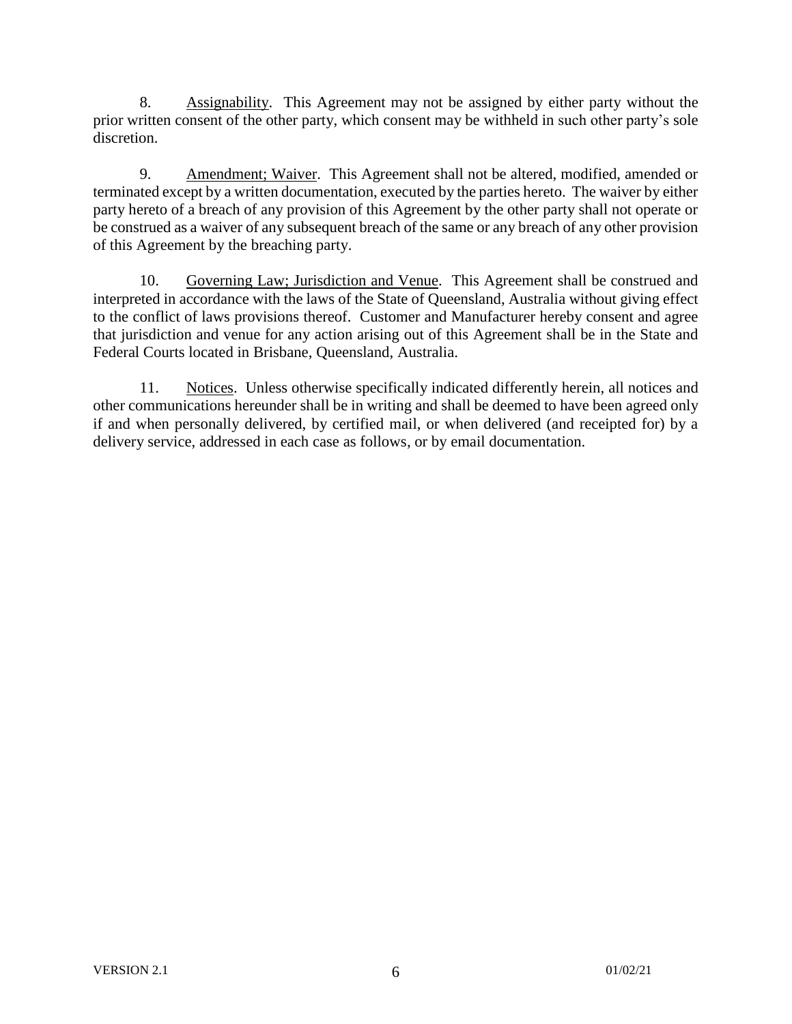8. Assignability. This Agreement may not be assigned by either party without the prior written consent of the other party, which consent may be withheld in such other party's sole discretion.

9. Amendment; Waiver. This Agreement shall not be altered, modified, amended or terminated except by a written documentation, executed by the parties hereto. The waiver by either party hereto of a breach of any provision of this Agreement by the other party shall not operate or be construed as a waiver of any subsequent breach of the same or any breach of any other provision of this Agreement by the breaching party.

10. Governing Law; Jurisdiction and Venue. This Agreement shall be construed and interpreted in accordance with the laws of the State of Queensland, Australia without giving effect to the conflict of laws provisions thereof. Customer and Manufacturer hereby consent and agree that jurisdiction and venue for any action arising out of this Agreement shall be in the State and Federal Courts located in Brisbane, Queensland, Australia.

11. Notices. Unless otherwise specifically indicated differently herein, all notices and other communications hereunder shall be in writing and shall be deemed to have been agreed only if and when personally delivered, by certified mail, or when delivered (and receipted for) by a delivery service, addressed in each case as follows, or by email documentation.